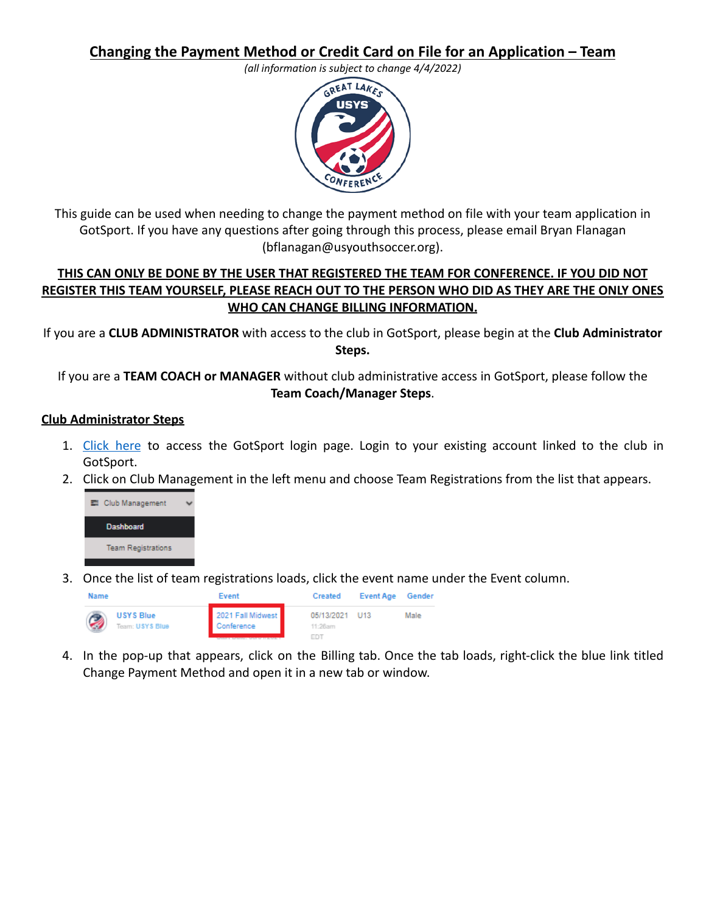**Changing the Payment Method or Credit Card on File for an Application – Team**

*(all information is subject to change 4/4/2022)*



This guide can be used when needing to change the payment method on file with your team application in GotSport. If you have any questions after going through this process, please email Bryan Flanagan (bflanagan@usyouthsoccer.org).

## **THIS CAN ONLY BE DONE BY THE USER THAT REGISTERED THE TEAM FOR CONFERENCE. IF YOU DID NOT REGISTER THIS TEAM YOURSELF, PLEASE REACH OUT TO THE PERSON WHO DID AS THEY ARE THE ONLY ONES WHO CAN CHANGE BILLING INFORMATION.**

If you are a **CLUB ADMINISTRATOR** with access to the club in GotSport, please begin at the **Club Administrator Steps.**

If you are a **TEAM COACH or MANAGER** without club administrative access in GotSport, please follow the **Team Coach/Manager Steps**.

## **Club Administrator Steps**

- 1. [Click](https://system.gotsport.com/) here to access the GotSport login page. Login to your existing account linked to the club in GotSport.
- 2. Click on Club Management in the left menu and choose Team Registrations from the list that appears.



3. Once the list of team registrations loads, click the event name under the Event column.



4. In the pop-up that appears, click on the Billing tab. Once the tab loads, right-click the blue link titled Change Payment Method and open it in a new tab or window.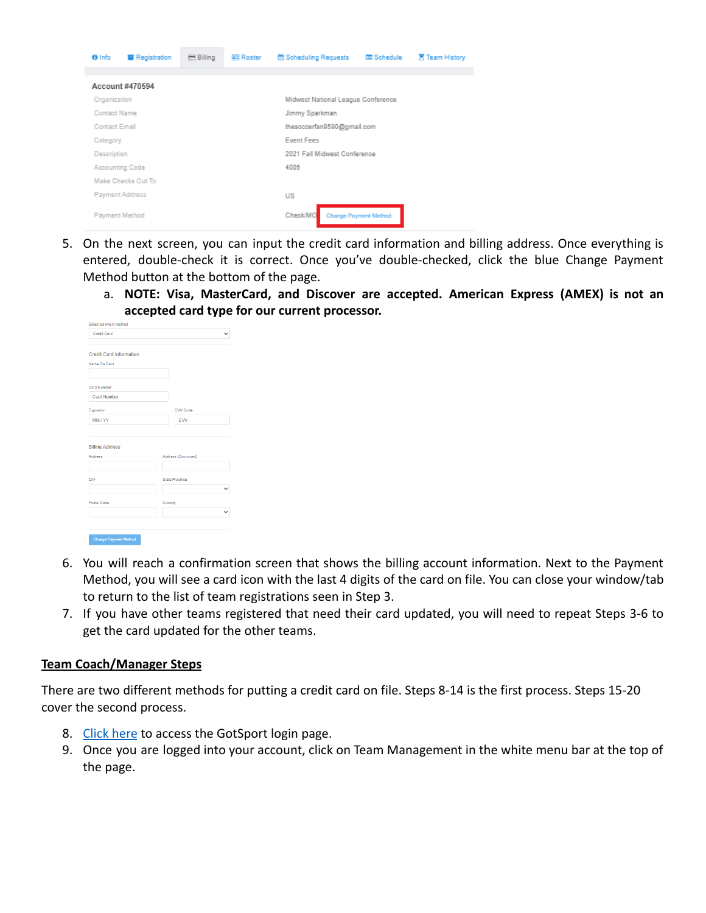

- 5. On the next screen, you can input the credit card information and billing address. Once everything is entered, double-check it is correct. Once you've double-checked, click the blue Change Payment Method button at the bottom of the page.
	- a. **NOTE: Visa, MasterCard, and Discover are accepted. American Express (AMEX) is not an accepted card type for our current processor.**

| <b>Credit Card</b>                               |                     |
|--------------------------------------------------|---------------------|
|                                                  |                     |
| <b>Credit Card Information</b><br>Name On Card   |                     |
|                                                  |                     |
|                                                  |                     |
| Card Number                                      |                     |
| Card Number                                      |                     |
| Expiration                                       | CVV Code            |
| MM/YY                                            | CVV                 |
|                                                  |                     |
|                                                  |                     |
|                                                  |                     |
|                                                  | Address (Continued) |
|                                                  |                     |
| <b>Billing Address</b><br><b>Address</b><br>City | State/Province      |
|                                                  |                     |
|                                                  | Country             |
| Postal Code                                      |                     |
|                                                  |                     |
|                                                  |                     |

- 6. You will reach a confirmation screen that shows the billing account information. Next to the Payment Method, you will see a card icon with the last 4 digits of the card on file. You can close your window/tab to return to the list of team registrations seen in Step 3.
- 7. If you have other teams registered that need their card updated, you will need to repeat Steps 3-6 to get the card updated for the other teams.

## **Team Coach/Manager Steps**

There are two different methods for putting a credit card on file. Steps 8-14 is the first process. Steps 15-20 cover the second process.

- 8. [Click here](https://system.gotsport.com/) to access the GotSport login page.
- 9. Once you are logged into your account, click on Team Management in the white menu bar at the top of the page.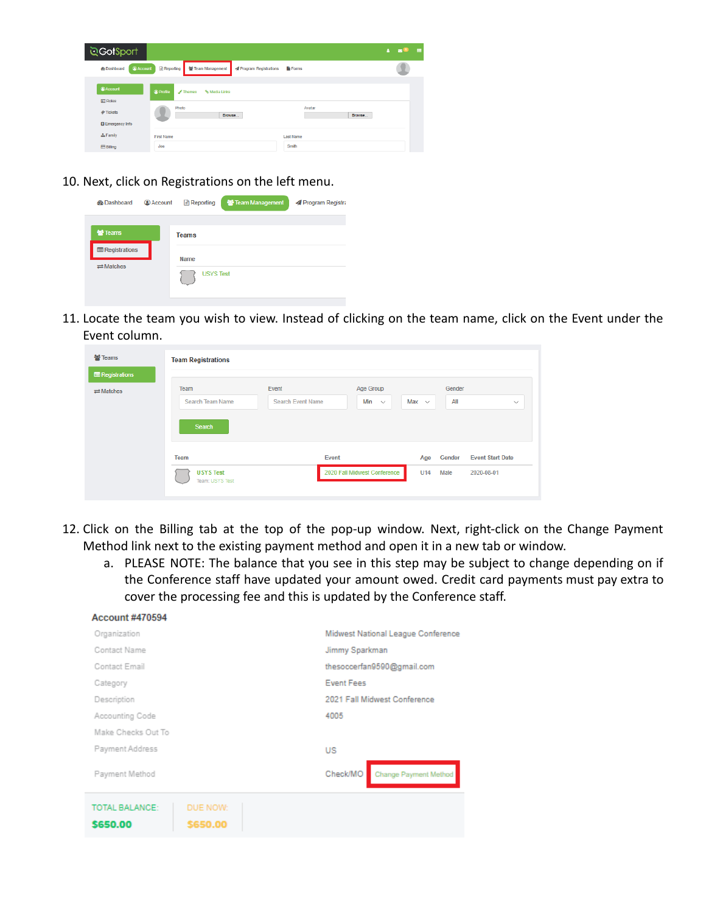

10. Next, click on Registrations on the left menu.

| <b><i>d</i></b> Dashboard                                              | <b>Account</b> | Reporting                                | Team Management | Program Registra |
|------------------------------------------------------------------------|----------------|------------------------------------------|-----------------|------------------|
| <b>替 Teams</b><br><b>E</b> Registrations<br>$\rightleftarrows$ Matches |                | <b>Teams</b><br>Name<br><b>USYS Test</b> |                 |                  |

11. Locate the team you wish to view. Instead of clicking on the team name, click on the Event under the Event column.

| <b>營 Teams</b><br><b>E</b> Registrations | <b>Team Registrations</b>                   |                                   |                                  |            |                |                                       |
|------------------------------------------|---------------------------------------------|-----------------------------------|----------------------------------|------------|----------------|---------------------------------------|
| $\rightleftarrows$ Matches               | Team<br>Search Team Name<br>Search          | Event<br><b>Search Event Name</b> | Age Group<br>Min<br>$\checkmark$ | Max $\sim$ | Gender<br>All  | $\checkmark$                          |
|                                          | Team<br><b>USYS Test</b><br>Team: USYS Test | Event                             | 2020 Fall Midwest Conference     | Age<br>U14 | Gender<br>Male | <b>Event Start Date</b><br>2020-08-01 |

- 12. Click on the Billing tab at the top of the pop-up window. Next, right-click on the Change Payment Method link next to the existing payment method and open it in a new tab or window.
	- a. PLEASE NOTE: The balance that you see in this step may be subject to change depending on if the Conference staff have updated your amount owed. Credit card payments must pay extra to cover the processing fee and this is updated by the Conference staff.

| <b>Account #470594</b>            |                      |                                    |
|-----------------------------------|----------------------|------------------------------------|
| Organization                      |                      | Midwest National League Conference |
| Contact Name                      |                      | Jimmy Sparkman                     |
| Contact Email                     |                      | thesoccerfan9590@gmail.com         |
| Category                          |                      | <b>Event Fees</b>                  |
| Description                       |                      | 2021 Fall Midwest Conference       |
| Accounting Code                   |                      | 4005                               |
| Make Checks Out To                |                      |                                    |
| Payment Address                   |                      | US                                 |
| Payment Method                    |                      | Check/MO<br>Change Payment Method  |
| <b>TOTAL BALANCE:</b><br>\$650.00 | DUE NOW:<br>\$650.00 |                                    |
|                                   |                      |                                    |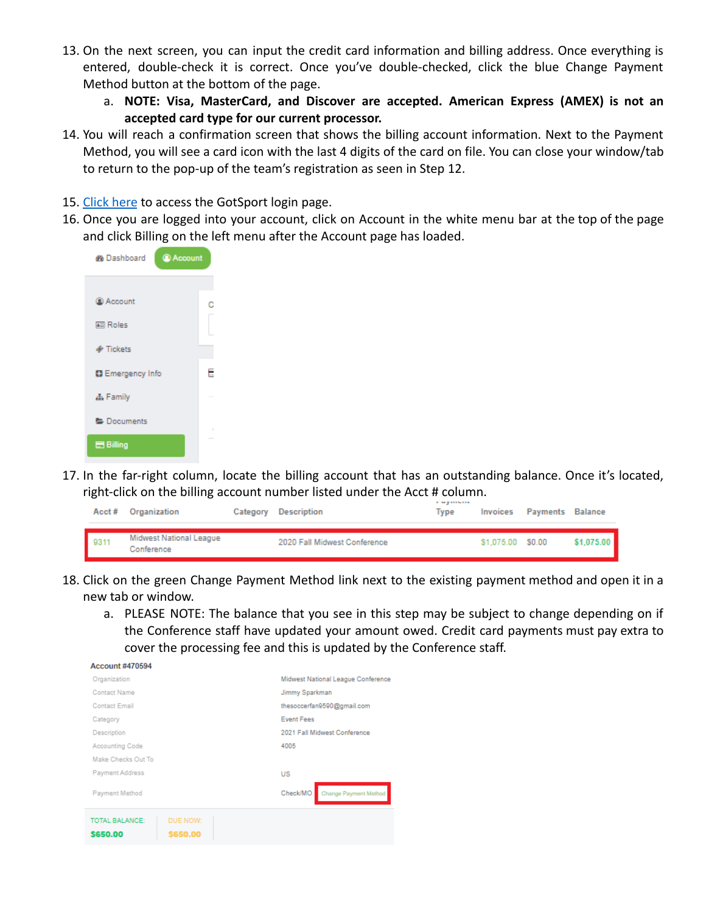- 13. On the next screen, you can input the credit card information and billing address. Once everything is entered, double-check it is correct. Once you've double-checked, click the blue Change Payment Method button at the bottom of the page.
	- a. **NOTE: Visa, MasterCard, and Discover are accepted. American Express (AMEX) is not an accepted card type for our current processor.**
- 14. You will reach a confirmation screen that shows the billing account information. Next to the Payment Method, you will see a card icon with the last 4 digits of the card on file. You can close your window/tab to return to the pop-up of the team's registration as seen in Step 12.
- 15. [Click here](https://system.gotsport.com/) to access the GotSport login page.
- 16. Once you are logged into your account, click on Account in the white menu bar at the top of the page and click Billing on the left menu after the Account page has loaded.



17. In the far-right column, locate the billing account that has an outstanding balance. Once it's located, right-click on the billing account number listed under the Acct # column.

|      | Acct# Organization                    | Category Description         | Type |                   | Invoices Payments Balance |            |
|------|---------------------------------------|------------------------------|------|-------------------|---------------------------|------------|
| 9311 | Midwest National League<br>Conference | 2020 Fall Midwest Conference |      | \$1,075.00 \$0.00 |                           | \$1,075.00 |

- 18. Click on the green Change Payment Method link next to the existing payment method and open it in a new tab or window.
	- a. PLEASE NOTE: The balance that you see in this step may be subject to change depending on if the Conference staff have updated your amount owed. Credit card payments must pay extra to cover the processing fee and this is updated by the Conference staff.

| <b>Account #470594</b>                             |                                    |
|----------------------------------------------------|------------------------------------|
| Organization                                       | Midwest National League Conference |
| Contact Name                                       | Jimmy Sparkman                     |
| Contact Email                                      | thesoccerfan9590@gmail.com         |
| Category                                           | <b>Fvent Fees</b>                  |
| Description                                        | 2021 Fall Midwest Conference       |
| Accounting Code                                    | 4005                               |
| Make Checks Out To                                 |                                    |
| Payment Address                                    | US                                 |
| Payment Method                                     | Check/MO<br>Change Payment Method  |
| TOTAL BALANCE:<br>DUE NOW:<br>\$650.00<br>\$650.00 |                                    |